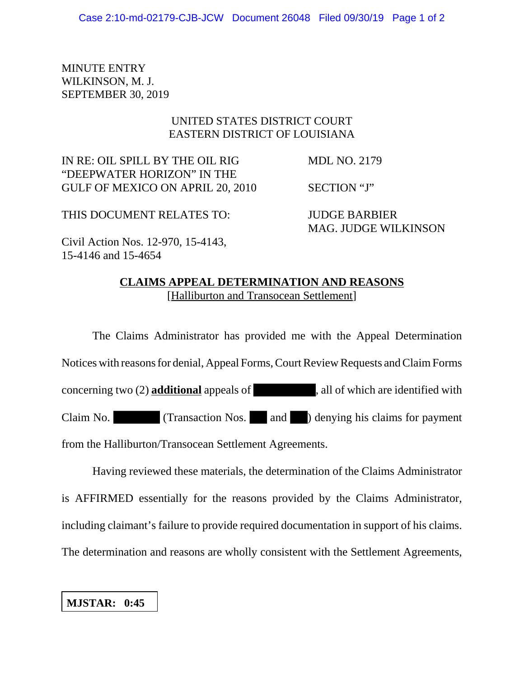MINUTE ENTRY WILKINSON, M. J. SEPTEMBER 30, 2019

## UNITED STATES DISTRICT COURT EASTERN DISTRICT OF LOUISIANA

IN RE: OIL SPILL BY THE OIL RIG MDL NO. 2179 "DEEPWATER HORIZON" IN THE GULF OF MEXICO ON APRIL 20, 2010 SECTION "J"

THIS DOCUMENT RELATES TO: JUDGE BARBIER

MAG. JUDGE WILKINSON

Civil Action Nos. 12-970, 15-4143, 15-4146 and 15-4654

## **CLAIMS APPEAL DETERMINATION AND REASONS** [Halliburton and Transocean Settlement]

The Claims Administrator has provided me with the Appeal Determination Notices with reasons for denial, Appeal Forms, Court Review Requests and Claim Forms concerning two (2) **additional** appeals of , all of which are identified with Claim No. (Transaction Nos. and ) denying his claims for payment from the Halliburton/Transocean Settlement Agreements.

Having reviewed these materials, the determination of the Claims Administrator is AFFIRMED essentially for the reasons provided by the Claims Administrator, including claimant's failure to provide required documentation in support of his claims. The determination and reasons are wholly consistent with the Settlement Agreements,

## **MJSTAR: 0:45**